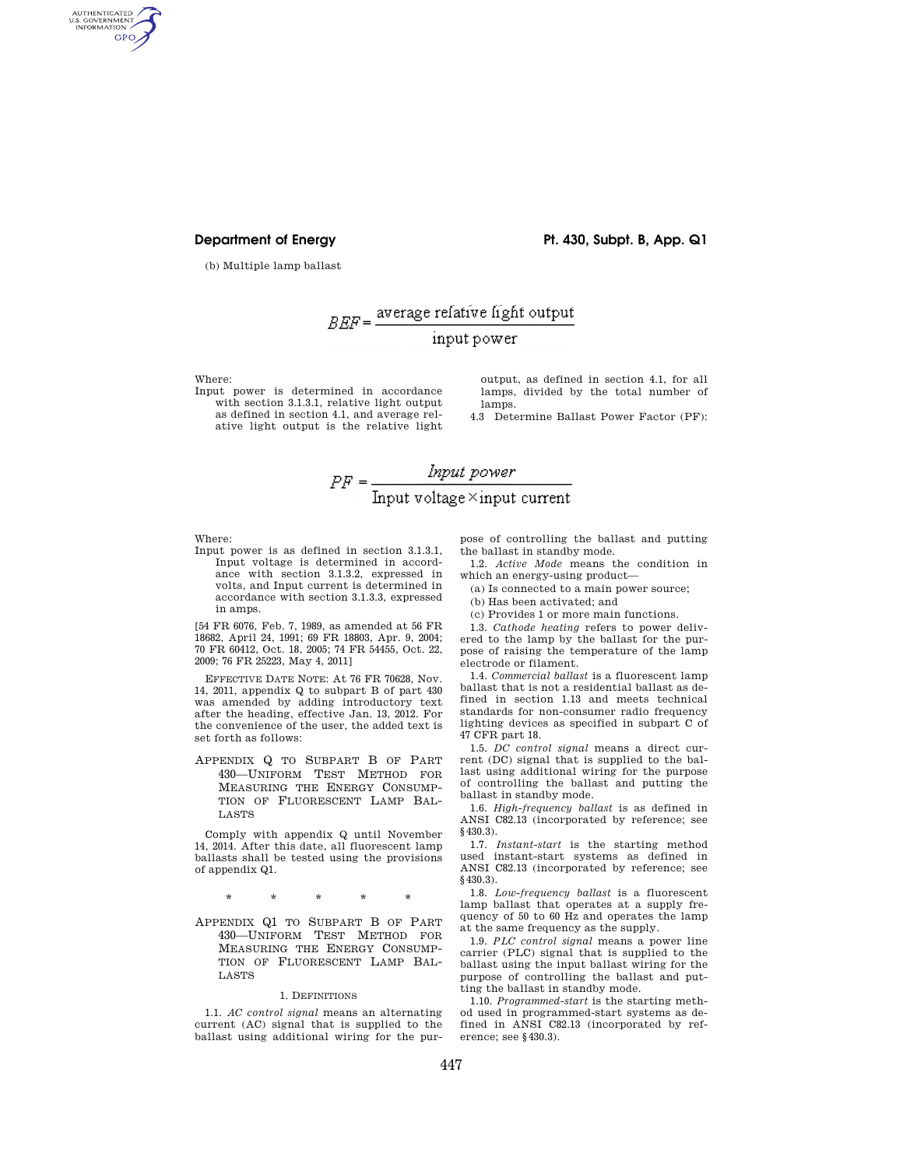# **Department of Energy Pt. 430, Subpt. B, App. Q1**

(b) Multiple lamp ballast

# $B E F = \frac{\text{average relative light output}}{}$ input power

Where:

AUTHENTICATED<br>U.S. GOVERNMENT<br>INFORMATION **GPO** 

> Input power is determined in accordance with section 3.1.3.1, relative light output as defined in section 4.1, and average relative light output is the relative light

output, as defined in section 4.1, for all lamps, divided by the total number of lamps.

4.3 Determine Ballast Power Factor (PF):



Where:

Input power is as defined in section 3.1.3.1, Input voltage is determined in accordance with section 3.1.3.2, expressed in volts, and Input current is determined in accordance with section 3.1.3.3, expressed in amps.

[54 FR 6076, Feb. 7, 1989, as amended at 56 FR 18682, April 24, 1991; 69 FR 18803, Apr. 9, 2004; 70 FR 60412, Oct. 18, 2005; 74 FR 54455, Oct. 22, 2009; 76 FR 25223, May 4, 2011]

EFFECTIVE DATE NOTE: At 76 FR 70628, Nov. 14, 2011, appendix Q to subpart B of part 430 was amended by adding introductory text after the heading, effective Jan. 13, 2012. For the convenience of the user, the added text is set forth as follows:

APPENDIX Q TO SUBPART B OF PART 430—UNIFORM TEST METHOD FOR MEASURING THE ENERGY CONSUMP-TION OF FLUORESCENT LAMP BAL-LASTS

Comply with appendix Q until November 14, 2014. After this date, all fluorescent lamp ballasts shall be tested using the provisions of appendix Q1.

\* \* \* \* \*

APPENDIX Q1 TO SUBPART B OF PART 430—UNIFORM TEST METHOD FOR MEASURING THE ENERGY CONSUMP-TION OF FLUORESCENT LAMP BAL-LASTS

## 1. DEFINITIONS

1.1. *AC control signal* means an alternating current (AC) signal that is supplied to the ballast using additional wiring for the purpose of controlling the ballast and putting the ballast in standby mode.

1.2. *Active Mode* means the condition in which an energy-using product—

(a) Is connected to a main power source;

- (b) Has been activated; and
- (c) Provides 1 or more main functions.

1.3. *Cathode heating* refers to power deliv-

ered to the lamp by the ballast for the purpose of raising the temperature of the lamp electrode or filament.

1.4. *Commercial ballast* is a fluorescent lamp ballast that is not a residential ballast as defined in section 1.13 and meets technical standards for non-consumer radio frequency lighting devices as specified in subpart C of 47 CFR part 18.

1.5. *DC control signal* means a direct current (DC) signal that is supplied to the ballast using additional wiring for the purpose of controlling the ballast and putting the ballast in standby mode.

1.6. *High-frequency ballast* is as defined in ANSI C82.13 (incorporated by reference; see §430.3).

1.7. *Instant-start* is the starting method used instant-start systems as defined in ANSI C82.13 (incorporated by reference; see §430.3).

1.8. *Low-frequency ballast* is a fluorescent lamp ballast that operates at a supply frequency of 50 to 60 Hz and operates the lamp at the same frequency as the supply.

1.9. *PLC control signal* means a power line carrier (PLC) signal that is supplied to the ballast using the input ballast wiring for the purpose of controlling the ballast and putting the ballast in standby mode.

1.10. *Programmed-start* is the starting method used in programmed-start systems as defined in ANSI C82.13 (incorporated by reference; see §430.3).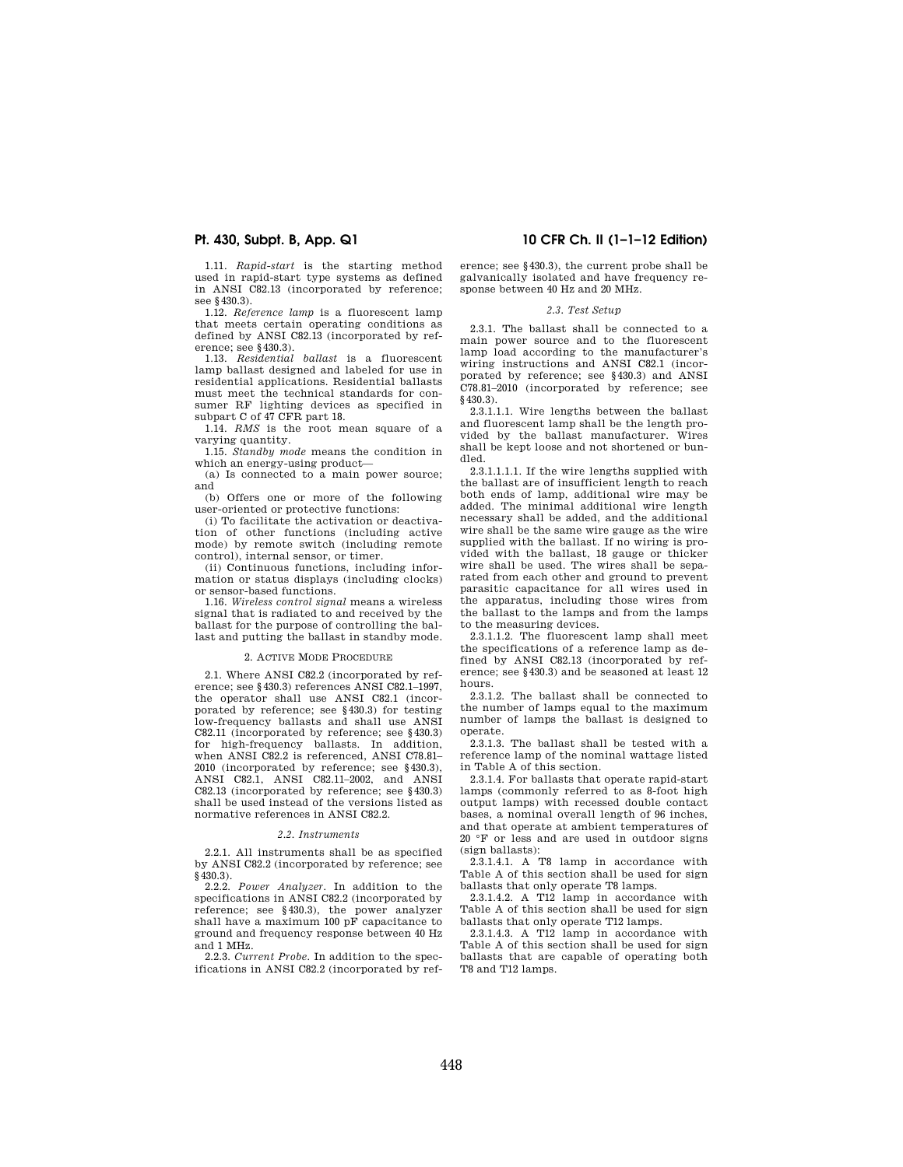1.11. *Rapid-start* is the starting method used in rapid-start type systems as defined in ANSI C82.13 (incorporated by reference; see §430.3).

1.12. *Reference lamp* is a fluorescent lamp that meets certain operating conditions as defined by ANSI C82.13 (incorporated by reference; see §430.3).

1.13. *Residential ballast* is a fluorescent lamp ballast designed and labeled for use in residential applications. Residential ballasts must meet the technical standards for consumer RF lighting devices as specified in subpart C of 47 CFR part 18.

1.14. *RMS* is the root mean square of a varying quantity.

1.15. *Standby mode* means the condition in which an energy-using product—

(a) Is connected to a main power source; and

(b) Offers one or more of the following user-oriented or protective functions:

(i) To facilitate the activation or deactivation of other functions (including active mode) by remote switch (including remote control), internal sensor, or timer.

(ii) Continuous functions, including information or status displays (including clocks) or sensor-based functions.

1.16. *Wireless control signal* means a wireless signal that is radiated to and received by the ballast for the purpose of controlling the ballast and putting the ballast in standby mode.

### 2. ACTIVE MODE PROCEDURE

2.1. Where ANSI C82.2 (incorporated by reference; see §430.3) references ANSI C82.1–1997, the operator shall use ANSI C82.1 (incorporated by reference; see §430.3) for testing low-frequency ballasts and shall use ANSI C82.11 (incorporated by reference; see §430.3) for high-frequency ballasts. In addition, when ANSI C82.2 is referenced, ANSI C78.81– 2010 (incorporated by reference; see §430.3), ANSI C82.1, ANSI C82.11–2002, and ANSI C82.13 (incorporated by reference; see §430.3) shall be used instead of the versions listed as normative references in ANSI C82.2.

### *2.2. Instruments*

2.2.1. All instruments shall be as specified by ANSI C82.2 (incorporated by reference; see §430.3).

2.2.2. *Power Analyzer.* In addition to the specifications in ANSI C82.2 (incorporated by reference; see §430.3), the power analyzer shall have a maximum 100 pF capacitance to ground and frequency response between 40 Hz and 1 MHz.

2.2.3. *Current Probe.* In addition to the specifications in ANSI C82.2 (incorporated by ref-

# **Pt. 430, Subpt. B, App. Q1 10 CFR Ch. II (1–1–12 Edition)**

erence; see §430.3), the current probe shall be galvanically isolated and have frequency response between 40 Hz and 20 MHz.

### *2.3. Test Setup*

2.3.1. The ballast shall be connected to a main power source and to the fluorescent lamp load according to the manufacturer's wiring instructions and ANSI C82.1 (incorporated by reference; see §430.3) and ANSI C78.81–2010 (incorporated by reference; see §430.3).

2.3.1.1.1. Wire lengths between the ballast and fluorescent lamp shall be the length provided by the ballast manufacturer. Wires shall be kept loose and not shortened or bundled.

2.3.1.1.1.1. If the wire lengths supplied with the ballast are of insufficient length to reach both ends of lamp, additional wire may be added. The minimal additional wire length necessary shall be added, and the additional wire shall be the same wire gauge as the wire supplied with the ballast. If no wiring is provided with the ballast, 18 gauge or thicker wire shall be used. The wires shall be separated from each other and ground to prevent parasitic capacitance for all wires used in the apparatus, including those wires from the ballast to the lamps and from the lamps to the measuring devices.

2.3.1.1.2. The fluorescent lamp shall meet the specifications of a reference lamp as defined by ANSI C82.13 (incorporated by reference; see §430.3) and be seasoned at least 12 hours.

2.3.1.2. The ballast shall be connected to the number of lamps equal to the maximum number of lamps the ballast is designed to operate.

2.3.1.3. The ballast shall be tested with a reference lamp of the nominal wattage listed in Table A of this section.

2.3.1.4. For ballasts that operate rapid-start lamps (commonly referred to as 8-foot high output lamps) with recessed double contact bases, a nominal overall length of 96 inches, and that operate at ambient temperatures of 20 °F or less and are used in outdoor signs (sign ballasts):

2.3.1.4.1. A T8 lamp in accordance with Table A of this section shall be used for sign ballasts that only operate T8 lamps.

2.3.1.4.2. A T12 lamp in accordance with Table A of this section shall be used for sign ballasts that only operate T12 lamps.

2.3.1.4.3. A T12 lamp in accordance with Table A of this section shall be used for sign ballasts that are capable of operating both T8 and T12 lamps.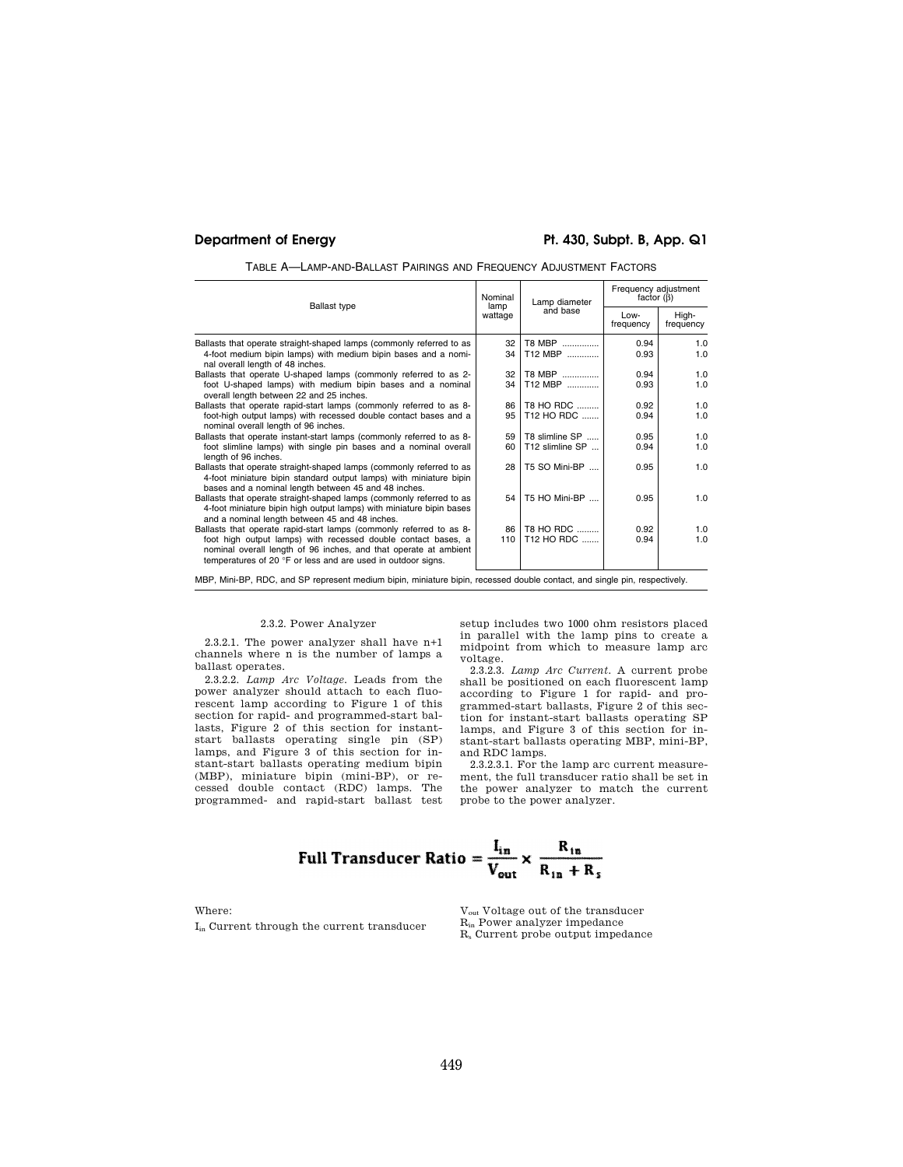# **Department of Energy Pt. 430, Subpt. B, App. Q1**

TABLE A—LAMP-AND-BALLAST PAIRINGS AND FREQUENCY ADJUSTMENT FACTORS

| <b>Ballast type</b>                                                                                                                                                                                                                                                      | Nominal<br>lamp<br>wattage | Lamp diameter<br>and base                  | Frequency adjustment<br>factor $(\beta)$ |                    |
|--------------------------------------------------------------------------------------------------------------------------------------------------------------------------------------------------------------------------------------------------------------------------|----------------------------|--------------------------------------------|------------------------------------------|--------------------|
|                                                                                                                                                                                                                                                                          |                            |                                            | Low-<br>frequency                        | High-<br>frequency |
| Ballasts that operate straight-shaped lamps (commonly referred to as<br>4-foot medium bipin lamps) with medium bipin bases and a nomi-<br>nal overall length of 48 inches.                                                                                               | 32<br>34                   | T8 MBP<br>T12 MBP                          | 0.94<br>0.93                             | 1.0<br>1.0         |
| Ballasts that operate U-shaped lamps (commonly referred to as 2-<br>foot U-shaped lamps) with medium bipin bases and a nominal<br>overall length between 22 and 25 inches.                                                                                               | 32<br>34                   | T8 MBP<br>T12 MBP                          | 0.94<br>0.93                             | 1.0<br>1.0         |
| Ballasts that operate rapid-start lamps (commonly referred to as 8-<br>foot-high output lamps) with recessed double contact bases and a<br>nominal overall length of 96 inches.                                                                                          | 86<br>95                   | <b>T8 HO RDC</b><br>T <sub>12</sub> HO RDC | 0.92<br>0.94                             | 1.0<br>1.0         |
| Ballasts that operate instant-start lamps (commonly referred to as 8-<br>foot slimline lamps) with single pin bases and a nominal overall<br>length of 96 inches.                                                                                                        | 59<br>60                   | T8 slimline SP<br>T12 slimline SP          | 0.95<br>0.94                             | 1.0<br>1.0         |
| Ballasts that operate straight-shaped lamps (commonly referred to as<br>4-foot miniature bipin standard output lamps) with miniature bipin<br>bases and a nominal length between 45 and 48 inches.                                                                       | 28                         | T5 SO Mini-BP                              | 0.95                                     | 1.0                |
| Ballasts that operate straight-shaped lamps (commonly referred to as<br>4-foot miniature bipin high output lamps) with miniature bipin bases<br>and a nominal length between 45 and 48 inches.                                                                           | 54                         | T5 HO Mini-BP                              | 0.95                                     | 1.0                |
| Ballasts that operate rapid-start lamps (commonly referred to as 8-<br>foot high output lamps) with recessed double contact bases, a<br>nominal overall length of 96 inches, and that operate at ambient<br>temperatures of 20 °F or less and are used in outdoor signs. | 86<br>110                  | T8 HO RDC<br>T12 HO RDC                    | 0.92<br>0.94                             | 1.0<br>1.0         |
| MBP, Mini-BP, RDC, and SP represent medium bipin, miniature bipin, recessed double contact, and single pin, respectively.                                                                                                                                                |                            |                                            |                                          |                    |

# 2.3.2. Power Analyzer

2.3.2.1. The power analyzer shall have n+1 channels where n is the number of lamps a ballast operates.

2.3.2.2. *Lamp Arc Voltage.* Leads from the power analyzer should attach to each fluorescent lamp according to Figure 1 of this section for rapid- and programmed-start ballasts, Figure 2 of this section for instantstart ballasts operating single pin (SP) lamps, and Figure 3 of this section for instant-start ballasts operating medium bipin (MBP), miniature bipin (mini-BP), or recessed double contact (RDC) lamps. The programmed- and rapid-start ballast test setup includes two 1000 ohm resistors placed in parallel with the lamp pins to create a midpoint from which to measure lamp arc voltage.

2.3.2.3. *Lamp Arc Current.* A current probe shall be positioned on each fluorescent lamp according to Figure 1 for rapid- and programmed-start ballasts, Figure 2 of this section for instant-start ballasts operating SP lamps, and Figure 3 of this section for instant-start ballasts operating MBP, mini-BP, and RDC lamps.

2.3.2.3.1. For the lamp arc current measurement, the full transducer ratio shall be set in the power analyzer to match the current probe to the power analyzer.

Full Transducer Ratio = 
$$
\frac{I_{in}}{V_{out}} \times \frac{R_{in}}{R_{in} + R_s}
$$

Where:

Iin Current through the current transducer

Vout Voltage out of the transducer R<sub>in</sub> Power analyzer impedance R<sup>s</sup> Current probe output impedance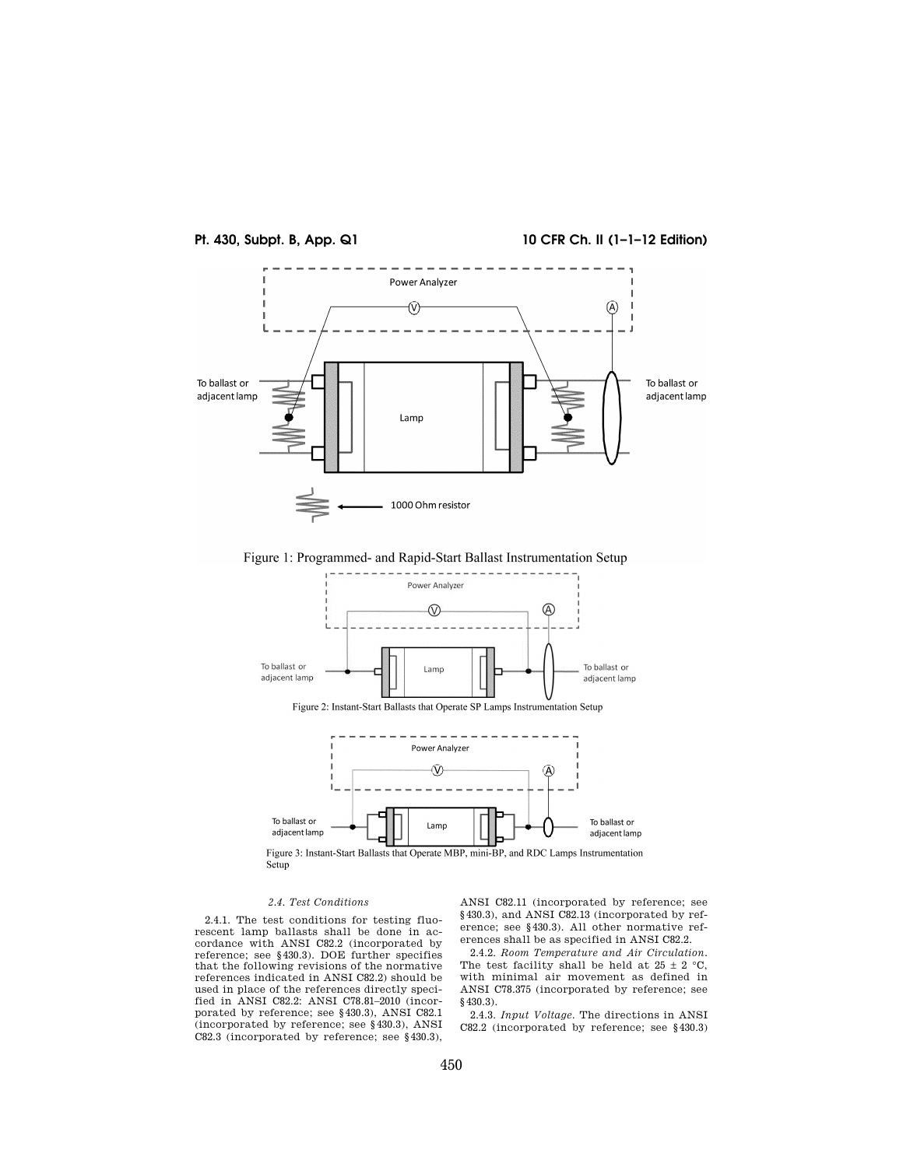

Figure 1: Programmed- and Rapid-Start Ballast Instrumentation Setup



# *2.4. Test Conditions*

2.4.1. The test conditions for testing fluorescent lamp ballasts shall be done in ac-cordance with ANSI C82.2 (incorporated by reference; see §430.3). DOE further specifies that the following revisions of the normative references indicated in ANSI C82.2) should be used in place of the references directly speci-fied in ANSI C82.2: ANSI C78.81–2010 (incorporated by reference; see §430.3), ANSI C82.1 (incorporated by reference; see §430.3), ANSI C82.3 (incorporated by reference; see §430.3),

ANSI C82.11 (incorporated by reference; see §430.3), and ANSI C82.13 (incorporated by reference; see §430.3). All other normative references shall be as specified in ANSI C82.2.

2.4.2. *Room Temperature and Air Circulation.*  The test facility shall be held at  $25 \pm 2$  °C, with minimal air movement as defined in ANSI C78.375 (incorporated by reference; see §430.3).

2.4.3. *Input Voltage.* The directions in ANSI C82.2 (incorporated by reference; see §430.3)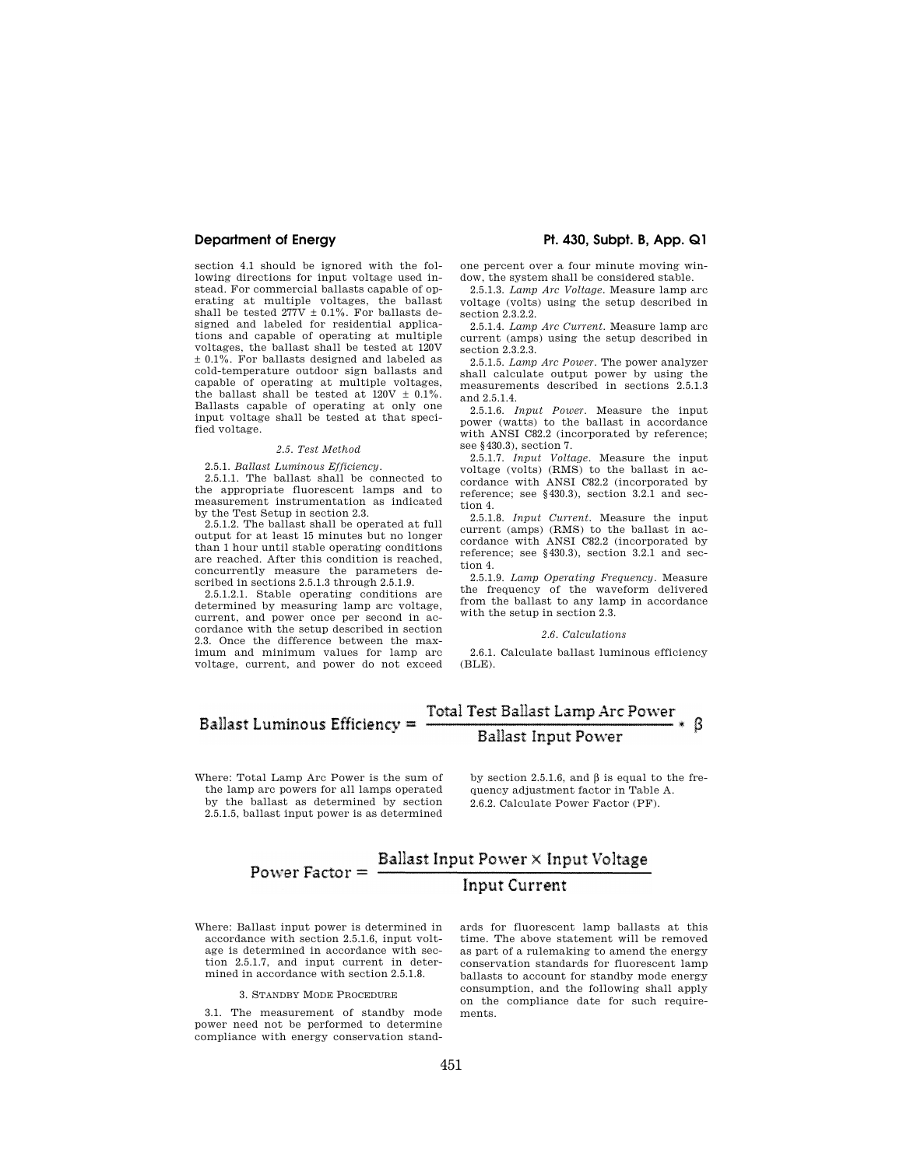section 4.1 should be ignored with the following directions for input voltage used instead. For commercial ballasts capable of operating at multiple voltages, the ballast shall be tested  $277V \pm 0.1\%$ . For ballasts designed and labeled for residential applications and capable of operating at multiple voltages, the ballast shall be tested at 120V ± 0.1%. For ballasts designed and labeled as cold-temperature outdoor sign ballasts and capable of operating at multiple voltages, the ballast shall be tested at  $120V \pm 0.1\%$ . Ballasts capable of operating at only one input voltage shall be tested at that specified voltage.

### *2.5. Test Method*

2.5.1. *Ballast Luminous Efficiency.* 

2.5.1.1. The ballast shall be connected to the appropriate fluorescent lamps and to measurement instrumentation as indicated by the Test Setup in section 2.3.

2.5.1.2. The ballast shall be operated at full output for at least 15 minutes but no longer than 1 hour until stable operating conditions are reached. After this condition is reached, concurrently measure the parameters described in sections 2.5.1.3 through 2.5.1.9.

2.5.1.2.1. Stable operating conditions are determined by measuring lamp arc voltage, current, and power once per second in accordance with the setup described in section 2.3. Once the difference between the maximum and minimum values for lamp arc voltage, current, and power do not exceed

# **Department of Energy Pt. 430, Subpt. B, App. Q1**

one percent over a four minute moving window, the system shall be considered stable.

2.5.1.3. *Lamp Arc Voltage.* Measure lamp arc voltage (volts) using the setup described in section 2.3.2.2.

2.5.1.4. *Lamp Arc Current.* Measure lamp arc current (amps) using the setup described in section 2.3.2.3.

2.5.1.5. *Lamp Arc Power.* The power analyzer shall calculate output power by using the measurements described in sections 2.5.1.3 and 2.5.1.4.

2.5.1.6. *Input Power.* Measure the input power (watts) to the ballast in accordance with ANSI C82.2 (incorporated by reference; see §430.3), section 7.

2.5.1.7. *Input Voltage.* Measure the input voltage (volts) (RMS) to the ballast in accordance with ANSI C82.2 (incorporated by reference; see §430.3), section 3.2.1 and section 4.

2.5.1.8. *Input Current.* Measure the input current (amps) (RMS) to the ballast in accordance with ANSI C82.2 (incorporated by reference; see §430.3), section 3.2.1 and section 4.

2.5.1.9. *Lamp Operating Frequency.* Measure the frequency of the waveform delivered from the ballast to any lamp in accordance with the setup in section 2.3.

### *2.6. Calculations*

2.6.1. Calculate ballast luminous efficiency (BLE).

### Total Test Ballast Lamp Arc Power **Ballast Luminous Efficiency = Ballast Input Power**

Where: Total Lamp Arc Power is the sum of the lamp arc powers for all lamps operated by the ballast as determined by section 2.5.1.5, ballast input power is as determined

by section 2.5.1.6, and  $\beta$  is equal to the frequency adjustment factor in Table A. 2.6.2. Calculate Power Factor (PF).

# Power Factor =  $\frac{\text{Ballast Input Power} \times \text{Input Voltage}}{\text{I}}$ **Input Current**

Where: Ballast input power is determined in accordance with section 2.5.1.6, input voltage is determined in accordance with section 2.5.1.7, and input current in determined in accordance with section 2.5.1.8.

3. STANDBY MODE PROCEDURE

3.1. The measurement of standby mode power need not be performed to determine compliance with energy conservation standards for fluorescent lamp ballasts at this time. The above statement will be removed as part of a rulemaking to amend the energy conservation standards for fluorescent lamp ballasts to account for standby mode energy consumption, and the following shall apply on the compliance date for such requirements.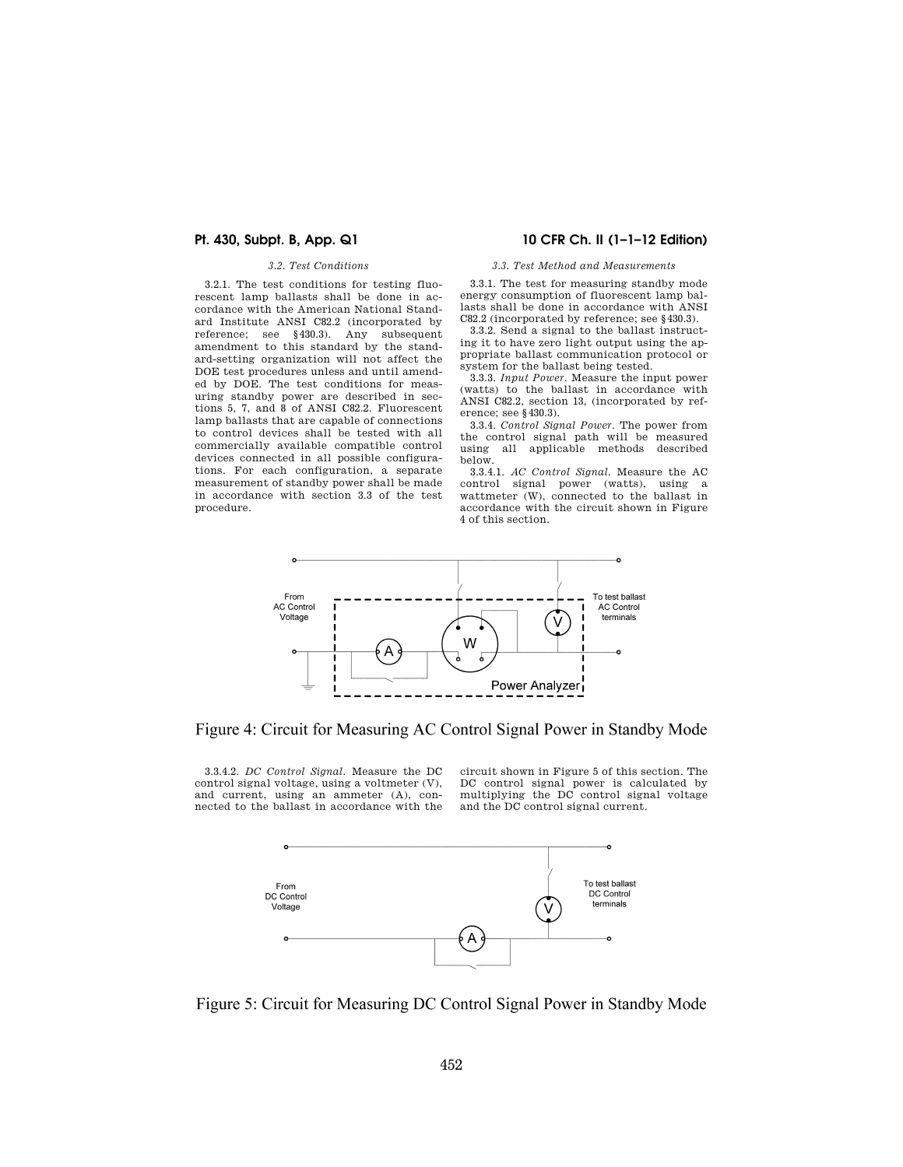### *3.2. Test Conditions*

3.2.1. The test conditions for testing fluorescent lamp ballasts shall be done in accordance with the American National Standard Institute ANSI C82.2 (incorporated by reference; see §430.3). Any subsequent amendment to this standard by the standard-setting organization will not affect the DOE test procedures unless and until amended by DOE. The test conditions for measuring standby power are described in sections 5, 7, and 8 of ANSI C82.2. Fluorescent lamp ballasts that are capable of connections to control devices shall be tested with all commercially available compatible control devices connected in all possible configurations. For each configuration, a separate measurement of standby power shall be made in accordance with section 3.3 of the test procedure.

# **Pt. 430, Subpt. B, App. Q1 10 CFR Ch. II (1–1–12 Edition)**

### *3.3. Test Method and Measurements*

3.3.1. The test for measuring standby mode energy consumption of fluorescent lamp ballasts shall be done in accordance with ANSI C82.2 (incorporated by reference; see §430.3).

3.3.2. Send a signal to the ballast instructing it to have zero light output using the appropriate ballast communication protocol or system for the ballast being tested.

3.3.3. *Input Power.* Measure the input power (watts) to the ballast in accordance with ANSI C82.2, section 13, (incorporated by reference; see §430.3).

3.3.4. *Control Signal Power.* The power from the control signal path will be measured using all applicable methods described below.

3.3.4.1. *AC Control Signal.* Measure the AC control signal power (watts), using a wattmeter (W), connected to the ballast in accordance with the circuit shown in Figure 4 of this section.



# Figure 4: Circuit for Measuring AC Control Signal Power in Standby Mode

3.3.4.2. *DC Control Signal.* Measure the DC control signal voltage, using a voltmeter (V), and current, using an ammeter (A), connected to the ballast in accordance with the circuit shown in Figure 5 of this section. The DC control signal power is calculated by multiplying the DC control signal voltage and the DC control signal current.



Figure 5: Circuit for Measuring DC Control Signal Power in Standby Mode